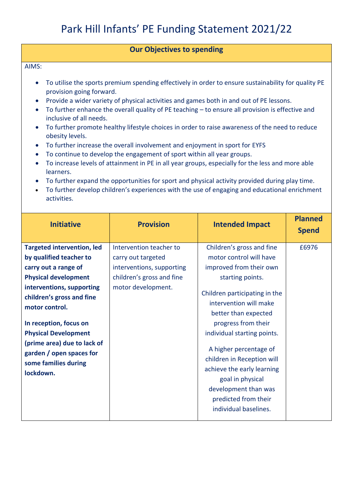## **Our Objectives to spending**

AIMS:

- To utilise the sports premium spending effectively in order to ensure sustainability for quality PE provision going forward.
- Provide a wider variety of physical activities and games both in and out of PE lessons.
- To further enhance the overall quality of PE teaching to ensure all provision is effective and inclusive of all needs.
- To further promote healthy lifestyle choices in order to raise awareness of the need to reduce obesity levels.
- To further increase the overall involvement and enjoyment in sport for EYFS
- To continue to develop the engagement of sport within all year groups.
- To increase levels of attainment in PE in all year groups, especially for the less and more able learners.
- To further expand the opportunities for sport and physical activity provided during play time.
- To further develop children's experiences with the use of engaging and educational enrichment activities.

| <b>Initiative</b>                                                                            | <b>Provision</b>          | <b>Intended Impact</b>                                                                                                                                                          | <b>Planned</b><br><b>Spend</b> |
|----------------------------------------------------------------------------------------------|---------------------------|---------------------------------------------------------------------------------------------------------------------------------------------------------------------------------|--------------------------------|
| <b>Targeted intervention, led</b>                                                            | Intervention teacher to   | Children's gross and fine                                                                                                                                                       | £6976                          |
| by qualified teacher to                                                                      | carry out targeted        | motor control will have                                                                                                                                                         |                                |
| carry out a range of                                                                         | interventions, supporting | improved from their own                                                                                                                                                         |                                |
| <b>Physical development</b>                                                                  | children's gross and fine | starting points.                                                                                                                                                                |                                |
| interventions, supporting<br>children's gross and fine<br>motor control.                     | motor development.        | Children participating in the<br>intervention will make<br>better than expected                                                                                                 |                                |
| In reception, focus on                                                                       |                           | progress from their                                                                                                                                                             |                                |
| <b>Physical Development</b>                                                                  |                           | individual starting points.                                                                                                                                                     |                                |
| (prime area) due to lack of<br>garden / open spaces for<br>some families during<br>lockdown. |                           | A higher percentage of<br>children in Reception will<br>achieve the early learning<br>goal in physical<br>development than was<br>predicted from their<br>individual baselines. |                                |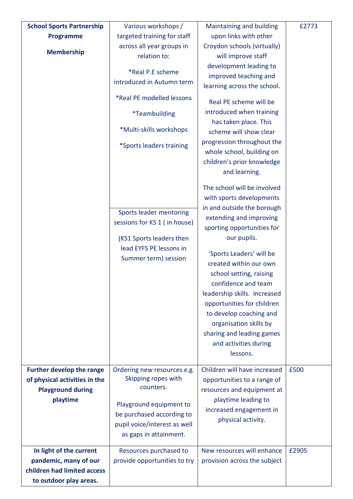| <b>School Sports Partnership</b>     | Various workshops /                                | Maintaining and building                          | £2773 |
|--------------------------------------|----------------------------------------------------|---------------------------------------------------|-------|
| <b>Programme</b>                     | targeted training for staff                        | upon links with other                             |       |
|                                      | across all year groups in                          | Croydon schools (virtually)                       |       |
| <b>Membership</b>                    | relation to:                                       | will improve staff                                |       |
|                                      |                                                    | development leading to                            |       |
|                                      | *Real P.E scheme<br>introduced in Autumn term      | improved teaching and                             |       |
|                                      |                                                    | learning across the school.                       |       |
|                                      | *Real PE modelled lessons                          | Real PE scheme will be                            |       |
|                                      |                                                    | introduced when training                          |       |
|                                      | <i>*</i> Teambuilding                              | has taken place. This                             |       |
|                                      | *Multi-skills workshops                            | scheme will show clear                            |       |
|                                      | *Sports leaders training                           | progression throughout the                        |       |
|                                      |                                                    | whole school, building on                         |       |
|                                      |                                                    | children's prior knowledge<br>and learning.       |       |
|                                      |                                                    |                                                   |       |
|                                      |                                                    | The school will be involved                       |       |
|                                      |                                                    | with sports developments                          |       |
|                                      | Sports leader mentoring                            | in and outside the borough                        |       |
|                                      | sessions for KS 1 (in house)                       | extending and improving                           |       |
|                                      |                                                    | sporting opportunities for                        |       |
|                                      | (KS1 Sports leaders then                           | our pupils.                                       |       |
|                                      | lead EYFS PE lessons in                            | 'Sports Leaders' will be                          |       |
|                                      | Summer term) session                               | created within our own                            |       |
|                                      |                                                    | school setting, raising                           |       |
|                                      |                                                    | confidence and team                               |       |
|                                      |                                                    | leadership skills. Increased                      |       |
|                                      |                                                    | opportunities for children                        |       |
|                                      |                                                    | to develop coaching and                           |       |
|                                      |                                                    | organisation skills by                            |       |
|                                      |                                                    | sharing and leading games                         |       |
|                                      |                                                    | and activities during                             |       |
|                                      |                                                    | lessons.                                          |       |
|                                      |                                                    | Children will have increased                      | £500  |
| <b>Further develop the range</b>     | Ordering new resources e.g.<br>Skipping ropes with |                                                   |       |
| of physical activities in the        | counters.                                          | opportunities to a range of                       |       |
| <b>Playground during</b><br>playtime |                                                    | resources and equipment at<br>playtime leading to |       |
|                                      | Playground equipment to                            | increased engagement in                           |       |
|                                      | be purchased according to                          | physical activity.                                |       |
|                                      | pupil voice/interest as well                       |                                                   |       |
|                                      | as gaps in attainment.                             |                                                   |       |
| In light of the current              | Resources purchased to                             | New resources will enhance                        | £2905 |
| pandemic, many of our                | provide opportunities to try                       | provision across the subject                      |       |
| children had limited access          |                                                    |                                                   |       |
| to outdoor play areas.               |                                                    |                                                   |       |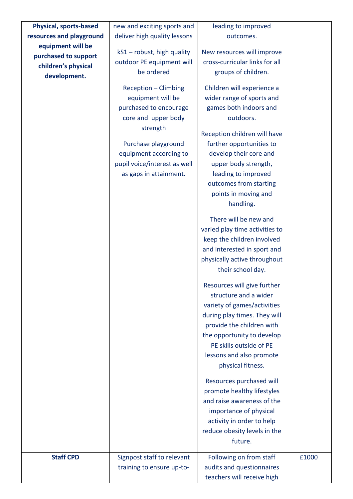| <b>Physical, sports-based</b> | new and exciting sports and  | leading to improved            |       |
|-------------------------------|------------------------------|--------------------------------|-------|
| resources and playground      | deliver high quality lessons | outcomes.                      |       |
| equipment will be             | kS1 - robust, high quality   | New resources will improve     |       |
| purchased to support          | outdoor PE equipment will    | cross-curricular links for all |       |
| children's physical           | be ordered                   | groups of children.            |       |
| development.                  |                              |                                |       |
|                               | Reception - Climbing         | Children will experience a     |       |
|                               | equipment will be            | wider range of sports and      |       |
|                               | purchased to encourage       | games both indoors and         |       |
|                               | core and upper body          | outdoors.                      |       |
|                               | strength                     | Reception children will have   |       |
|                               | Purchase playground          | further opportunities to       |       |
|                               | equipment according to       | develop their core and         |       |
|                               | pupil voice/interest as well | upper body strength,           |       |
|                               | as gaps in attainment.       | leading to improved            |       |
|                               |                              | outcomes from starting         |       |
|                               |                              | points in moving and           |       |
|                               |                              | handling.                      |       |
|                               |                              | There will be new and          |       |
|                               |                              | varied play time activities to |       |
|                               |                              | keep the children involved     |       |
|                               |                              | and interested in sport and    |       |
|                               |                              | physically active throughout   |       |
|                               |                              | their school day.              |       |
|                               |                              | Resources will give further    |       |
|                               |                              | structure and a wider          |       |
|                               |                              | variety of games/activities    |       |
|                               |                              | during play times. They will   |       |
|                               |                              | provide the children with      |       |
|                               |                              | the opportunity to develop     |       |
|                               |                              | PE skills outside of PE        |       |
|                               |                              | lessons and also promote       |       |
|                               |                              | physical fitness.              |       |
|                               |                              | Resources purchased will       |       |
|                               |                              | promote healthy lifestyles     |       |
|                               |                              | and raise awareness of the     |       |
|                               |                              | importance of physical         |       |
|                               |                              | activity in order to help      |       |
|                               |                              | reduce obesity levels in the   |       |
|                               |                              | future.                        |       |
| <b>Staff CPD</b>              | Signpost staff to relevant   | Following on from staff        | £1000 |
|                               | training to ensure up-to-    | audits and questionnaires      |       |
|                               |                              | teachers will receive high     |       |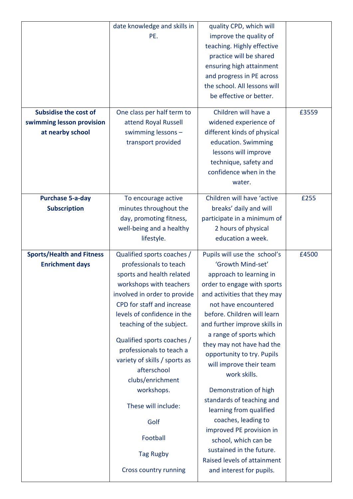|                                  | date knowledge and skills in  | quality CPD, which will       |       |
|----------------------------------|-------------------------------|-------------------------------|-------|
|                                  | PE.                           | improve the quality of        |       |
|                                  |                               | teaching. Highly effective    |       |
|                                  |                               | practice will be shared       |       |
|                                  |                               | ensuring high attainment      |       |
|                                  |                               | and progress in PE across     |       |
|                                  |                               | the school. All lessons will  |       |
|                                  |                               | be effective or better.       |       |
| <b>Subsidise the cost of</b>     | One class per half term to    | Children will have a          | £3559 |
| swimming lesson provision        | attend Royal Russell          | widened experience of         |       |
| at nearby school                 | swimming lessons-             | different kinds of physical   |       |
|                                  | transport provided            | education. Swimming           |       |
|                                  |                               | lessons will improve          |       |
|                                  |                               | technique, safety and         |       |
|                                  |                               | confidence when in the        |       |
|                                  |                               | water.                        |       |
|                                  |                               |                               |       |
| <b>Purchase 5-a-day</b>          | To encourage active           | Children will have 'active    | £255  |
| <b>Subscription</b>              | minutes throughout the        | breaks' daily and will        |       |
|                                  | day, promoting fitness,       | participate in a minimum of   |       |
|                                  | well-being and a healthy      | 2 hours of physical           |       |
|                                  | lifestyle.                    | education a week.             |       |
| <b>Sports/Health and Fitness</b> | Qualified sports coaches /    | Pupils will use the school's  | £4500 |
| <b>Enrichment days</b>           | professionals to teach        | 'Growth Mind-set'             |       |
|                                  | sports and health related     | approach to learning in       |       |
|                                  | workshops with teachers       | order to engage with sports   |       |
|                                  | involved in order to provide  | and activities that they may  |       |
|                                  | CPD for staff and increase    | not have encountered          |       |
|                                  | levels of confidence in the   | before. Children will learn   |       |
|                                  | teaching of the subject.      | and further improve skills in |       |
|                                  |                               | a range of sports which       |       |
|                                  | Qualified sports coaches /    | they may not have had the     |       |
|                                  | professionals to teach a      | opportunity to try. Pupils    |       |
|                                  | variety of skills / sports as | will improve their team       |       |
|                                  | afterschool                   | work skills.                  |       |
|                                  | clubs/enrichment              |                               |       |
|                                  | workshops.                    | Demonstration of high         |       |
|                                  | These will include:           | standards of teaching and     |       |
|                                  |                               | learning from qualified       |       |
|                                  | Golf                          | coaches, leading to           |       |
|                                  | Football                      | improved PE provision in      |       |
|                                  |                               | school, which can be          |       |
|                                  | <b>Tag Rugby</b>              | sustained in the future.      |       |
|                                  |                               | Raised levels of attainment   |       |
|                                  | Cross country running         | and interest for pupils.      |       |